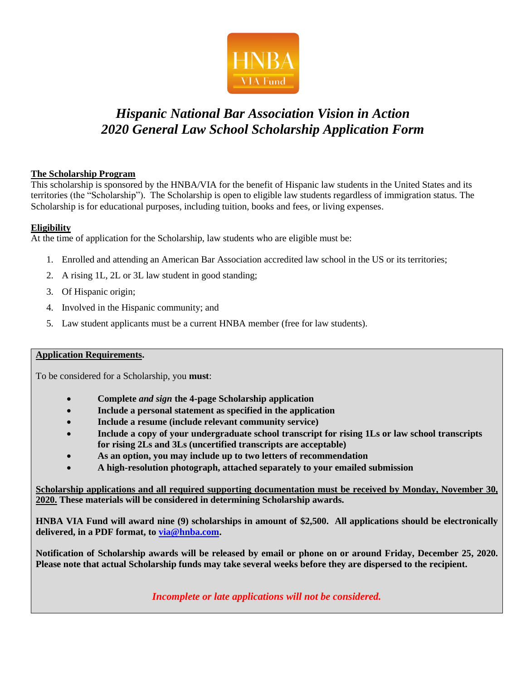

## *Hispanic National Bar Association Vision in Action 2020 General Law School Scholarship Application Form*

#### **The Scholarship Program**

This scholarship is sponsored by the HNBA/VIA for the benefit of Hispanic law students in the United States and its territories (the "Scholarship"). The Scholarship is open to eligible law students regardless of immigration status. The Scholarship is for educational purposes, including tuition, books and fees, or living expenses.

#### **Eligibility**

At the time of application for the Scholarship, law students who are eligible must be:

- 1. Enrolled and attending an American Bar Association accredited law school in the US or its territories;
- 2. A rising 1L, 2L or 3L law student in good standing;
- 3. Of Hispanic origin;
- 4. Involved in the Hispanic community; and
- 5. Law student applicants must be a current HNBA member (free for law students).

#### **Application Requirements.**

To be considered for a Scholarship, you **must**:

- **Complete** *and sign* **the 4-page Scholarship application**
- **Include a personal statement as specified in the application**
- **Include a resume (include relevant community service)**
- **Include a copy of your undergraduate school transcript for rising 1Ls or law school transcripts for rising 2Ls and 3Ls (uncertified transcripts are acceptable)**
- **As an option, you may include up to two letters of recommendation**
- **A high-resolution photograph, attached separately to your emailed submission**

**Scholarship applications and all required supporting documentation must be received by Monday, November 30, 2020. These materials will be considered in determining Scholarship awards.**

**HNBA VIA Fund will award nine (9) scholarships in amount of \$2,500. All applications should be electronically delivered, in a PDF format, to [via@hnba.com.](mailto:via@hnba.com)**

**Notification of Scholarship awards will be released by email or phone on or around Friday, December 25, 2020. Please note that actual Scholarship funds may take several weeks before they are dispersed to the recipient.**

*Incomplete or late applications will not be considered.*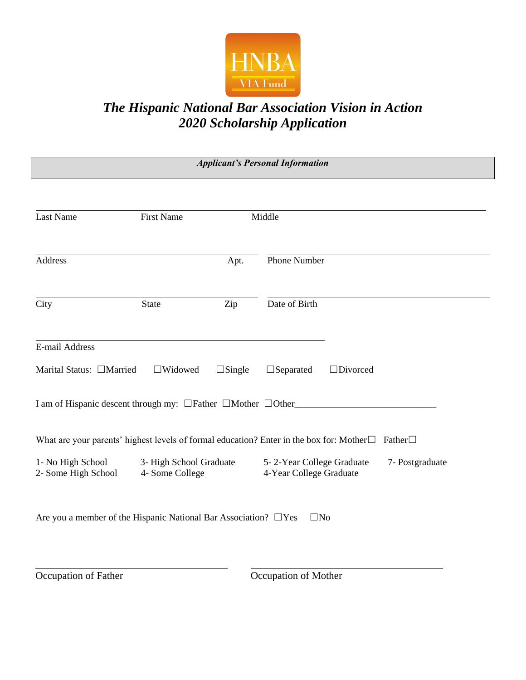

# *The Hispanic National Bar Association Vision in Action 2020 Scholarship Application*

| <b>Applicant's Personal Information</b>    |                                                                       |               |                                                                                                                    |
|--------------------------------------------|-----------------------------------------------------------------------|---------------|--------------------------------------------------------------------------------------------------------------------|
|                                            |                                                                       |               |                                                                                                                    |
| <b>Last Name</b>                           | <b>First Name</b>                                                     |               | Middle                                                                                                             |
| Address                                    |                                                                       | Apt.          | Phone Number                                                                                                       |
| City                                       | <b>State</b>                                                          | Zip           | Date of Birth                                                                                                      |
| E-mail Address<br>Marital Status: □Married | $\Box$ Widowed                                                        | $\Box$ Single | $\Box$ Separated<br>$\Box$ Divorced                                                                                |
|                                            | I am of Hispanic descent through my: □Father □Mother □Other           |               |                                                                                                                    |
|                                            |                                                                       |               | What are your parents' highest levels of formal education? Enter in the box for: Mother $\square$<br>Father $\Box$ |
| 1- No High School<br>2- Some High School   | 3- High School Graduate<br>4- Some College                            |               | 5-2-Year College Graduate<br>7- Postgraduate<br>4-Year College Graduate                                            |
|                                            | Are you a member of the Hispanic National Bar Association? $\Box$ Yes |               | $\square$ No                                                                                                       |
|                                            |                                                                       |               |                                                                                                                    |

Occupation of Father Occupation of Mother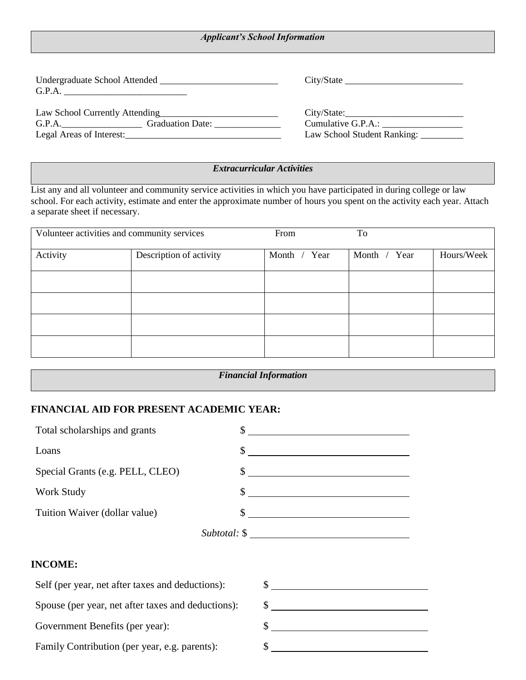| <b>Applicant's School Information</b> |  |  |
|---------------------------------------|--|--|
|---------------------------------------|--|--|

| G.P.A.                                                                  |                             |
|-------------------------------------------------------------------------|-----------------------------|
| Law School Currently Attending<br><u>Law School Currently Attending</u> | City/State:                 |
| G.P.A. Graduation Date:                                                 | Cumulative G.P.A.:          |
| Legal Areas of Interest:                                                | Law School Student Ranking: |

#### *Extracurricular Activities*

List any and all volunteer and community service activities in which you have participated in during college or law school. For each activity, estimate and enter the approximate number of hours you spent on the activity each year. Attach a separate sheet if necessary.

| Volunteer activities and community services |                         | From         | To           |            |
|---------------------------------------------|-------------------------|--------------|--------------|------------|
| Activity                                    | Description of activity | Month / Year | Month / Year | Hours/Week |
|                                             |                         |              |              |            |
|                                             |                         |              |              |            |
|                                             |                         |              |              |            |
|                                             |                         |              |              |            |

| <b>Financial Information</b> |  |
|------------------------------|--|
|                              |  |

## **FINANCIAL AID FOR PRESENT ACADEMIC YEAR:**

| Total scholarships and grants    |              |
|----------------------------------|--------------|
| Loans                            |              |
| Special Grants (e.g. PELL, CLEO) |              |
| Work Study                       |              |
| Tuition Waiver (dollar value)    |              |
|                                  | Subtotal: \$ |

## **INCOME:**

| Self (per year, net after taxes and deductions):   |  |
|----------------------------------------------------|--|
| Spouse (per year, net after taxes and deductions): |  |
| Government Benefits (per year):                    |  |
| Family Contribution (per year, e.g. parents):      |  |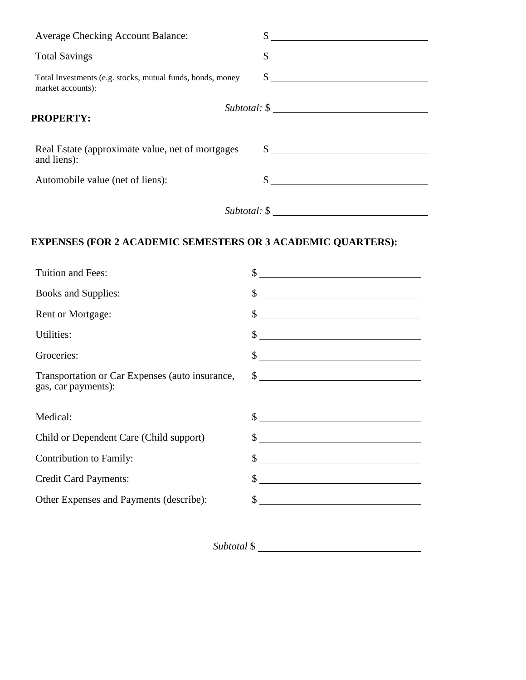| <b>Average Checking Account Balance:</b>                                        | \$             |
|---------------------------------------------------------------------------------|----------------|
| <b>Total Savings</b>                                                            | $\sim$         |
| Total Investments (e.g. stocks, mutual funds, bonds, money<br>market accounts): | $\frac{1}{2}$  |
| <b>PROPERTY:</b>                                                                | $Subtotal:$ \$ |
| Real Estate (approximate value, net of mortgages<br>and liens):                 | $\sim$         |
| Automobile value (net of liens):                                                |                |
|                                                                                 | $Subtotal:$ \$ |

## **EXPENSES (FOR 2 ACADEMIC SEMESTERS OR 3 ACADEMIC QUARTERS):**

| Tuition and Fees:                                                      | \$                                                                                                                                                                                                                                                    |
|------------------------------------------------------------------------|-------------------------------------------------------------------------------------------------------------------------------------------------------------------------------------------------------------------------------------------------------|
| <b>Books and Supplies:</b>                                             | $\mathcal{S}$<br><u> 1989 - Johann Stoff, deutscher Stoffen und der Stoffen und der Stoffen und der Stoffen und der Stoffen und der Stoffen und der Stoffen und der Stoffen und der Stoffen und der Stoffen und der Stoffen und der Stoffen und d</u> |
| <b>Rent or Mortgage:</b>                                               | \$<br><u> Alexandria de la contrada de la contrada de la contrada de la contrada de la contrada de la contrada de la c</u>                                                                                                                            |
| Utilities:                                                             | $\mathbb{S}$                                                                                                                                                                                                                                          |
| Groceries:                                                             | \$<br><u> 1989 - Johann Stoff, deutscher Stoffen und der Stoffen und der Stoffen und der Stoffen und der Stoffen und der Stoffen und der Stoffen und der Stoffen und der Stoffen und der Stoffen und der Stoffen und der Stoffen und d</u>            |
| Transportation or Car Expenses (auto insurance,<br>gas, car payments): | $\frac{1}{2}$                                                                                                                                                                                                                                         |
| Medical:                                                               |                                                                                                                                                                                                                                                       |
| Child or Dependent Care (Child support)                                | \$<br><u> 1980 - Jan Stein Stein Stein Stein Stein Stein Stein Stein Stein Stein Stein Stein Stein Stein Stein Stein S</u>                                                                                                                            |
| Contribution to Family:                                                | \$<br><u> 1980 - Andrea Station Barbara, amerikan personal (h. 1980).</u>                                                                                                                                                                             |
| <b>Credit Card Payments:</b>                                           | \$                                                                                                                                                                                                                                                    |
| Other Expenses and Payments (describe):                                | \$<br><u> 1980 - Andrea Station Barbara, amerikan personal (h. 1980).</u>                                                                                                                                                                             |
|                                                                        |                                                                                                                                                                                                                                                       |

*Subtotal* \$